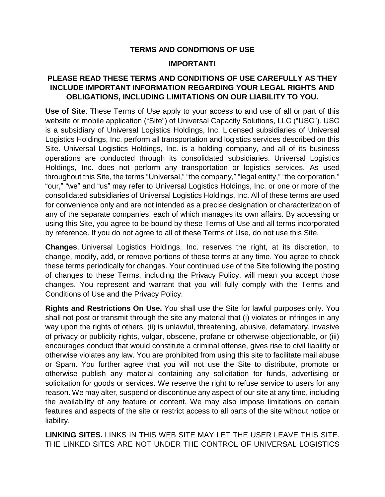## **TERMS AND CONDITIONS OF USE**

## **IMPORTANT!**

## **PLEASE READ THESE TERMS AND CONDITIONS OF USE CAREFULLY AS THEY INCLUDE IMPORTANT INFORMATION REGARDING YOUR LEGAL RIGHTS AND OBLIGATIONS, INCLUDING LIMITATIONS ON OUR LIABILITY TO YOU.**

**Use of Site**. These Terms of Use apply to your access to and use of all or part of this website or mobile application ("Site") of Universal Capacity Solutions, LLC ("USC"). USC is a subsidiary of Universal Logistics Holdings, Inc. Licensed subsidiaries of Universal Logistics Holdings, Inc. perform all transportation and logistics services described on this Site. Universal Logistics Holdings, Inc. is a holding company, and all of its business operations are conducted through its consolidated subsidiaries. Universal Logistics Holdings, Inc. does not perform any transportation or logistics services. As used throughout this Site, the terms "Universal," "the company," "legal entity," "the corporation," "our," "we" and "us" may refer to Universal Logistics Holdings, Inc. or one or more of the consolidated subsidiaries of Universal Logistics Holdings, Inc. All of these terms are used for convenience only and are not intended as a precise designation or characterization of any of the separate companies, each of which manages its own affairs. By accessing or using this Site, you agree to be bound by these Terms of Use and all terms incorporated by reference. If you do not agree to all of these Terms of Use, do not use this Site.

**Changes**. Universal Logistics Holdings, Inc. reserves the right, at its discretion, to change, modify, add, or remove portions of these terms at any time. You agree to check these terms periodically for changes. Your continued use of the Site following the posting of changes to these Terms, including the Privacy Policy, will mean you accept those changes. You represent and warrant that you will fully comply with the Terms and Conditions of Use and the Privacy Policy.

**Rights and Restrictions On Use.** You shall use the Site for lawful purposes only. You shall not post or transmit through the site any material that (i) violates or infringes in any way upon the rights of others, (ii) is unlawful, threatening, abusive, defamatory, invasive of privacy or publicity rights, vulgar, obscene, profane or otherwise objectionable, or (iii) encourages conduct that would constitute a criminal offense, gives rise to civil liability or otherwise violates any law. You are prohibited from using this site to facilitate mail abuse or Spam. You further agree that you will not use the Site to distribute, promote or otherwise publish any material containing any solicitation for funds, advertising or solicitation for goods or services. We reserve the right to refuse service to users for any reason. We may alter, suspend or discontinue any aspect of our site at any time, including the availability of any feature or content. We may also impose limitations on certain features and aspects of the site or restrict access to all parts of the site without notice or liability.

**LINKING SITES.** LINKS IN THIS WEB SITE MAY LET THE USER LEAVE THIS SITE. THE LINKED SITES ARE NOT UNDER THE CONTROL OF UNIVERSAL LOGISTICS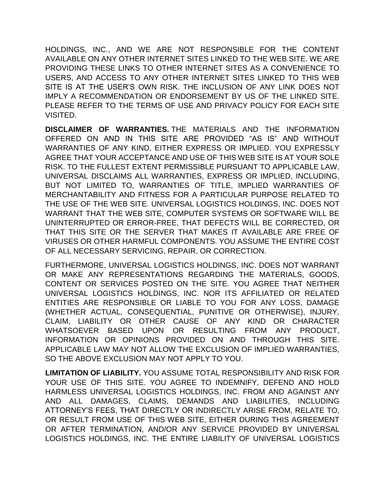HOLDINGS, INC., AND WE ARE NOT RESPONSIBLE FOR THE CONTENT AVAILABLE ON ANY OTHER INTERNET SITES LINKED TO THE WEB SITE. WE ARE PROVIDING THESE LINKS TO OTHER INTERNET SITES AS A CONVENIENCE TO USERS, AND ACCESS TO ANY OTHER INTERNET SITES LINKED TO THIS WEB SITE IS AT THE USER'S OWN RISK. THE INCLUSION OF ANY LINK DOES NOT IMPLY A RECOMMENDATION OR ENDORSEMENT BY US OF THE LINKED SITE. PLEASE REFER TO THE TERMS OF USE AND PRIVACY POLICY FOR EACH SITE VISITED.

**DISCLAIMER OF WARRANTIES.** THE MATERIALS AND THE INFORMATION OFFERED ON AND IN THIS SITE ARE PROVIDED "AS IS" AND WITHOUT WARRANTIES OF ANY KIND, EITHER EXPRESS OR IMPLIED. YOU EXPRESSLY AGREE THAT YOUR ACCEPTANCE AND USE OF THIS WEB SITE IS AT YOUR SOLE RISK. TO THE FULLEST EXTENT PERMISSIBLE PURSUANT TO APPLICABLE LAW, UNIVERSAL DISCLAIMS ALL WARRANTIES, EXPRESS OR IMPLIED, INCLUDING, BUT NOT LIMITED TO, WARRANTIES OF TITLE, IMPLIED WARRANTIES OF MERCHANTABILITY AND FITNESS FOR A PARTICULAR PURPOSE RELATED TO THE USE OF THE WEB SITE. UNIVERSAL LOGISTICS HOLDINGS, INC. DOES NOT WARRANT THAT THE WEB SITE, COMPUTER SYSTEMS OR SOFTWARE WILL BE UNINTERRUPTED OR ERROR-FREE, THAT DEFECTS WILL BE CORRECTED, OR THAT THIS SITE OR THE SERVER THAT MAKES IT AVAILABLE ARE FREE OF VIRUSES OR OTHER HARMFUL COMPONENTS. YOU ASSUME THE ENTIRE COST OF ALL NECESSARY SERVICING, REPAIR, OR CORRECTION.

FURTHERMORE, UNIVERSAL LOGISTICS HOLDINGS, INC. DOES NOT WARRANT OR MAKE ANY REPRESENTATIONS REGARDING THE MATERIALS, GOODS, CONTENT OR SERVICES POSTED ON THE SITE. YOU AGREE THAT NEITHER UNIVERSAL LOGISTICS HOLDINGS, INC. NOR ITS AFFILIATED OR RELATED ENTITIES ARE RESPONSIBLE OR LIABLE TO YOU FOR ANY LOSS, DAMAGE (WHETHER ACTUAL, CONSEQUENTIAL, PUNITIVE OR OTHERWISE), INJURY, CLAIM, LIABILITY OR OTHER CAUSE OF ANY KIND OR CHARACTER WHATSOEVER BASED UPON OR RESULTING FROM ANY PRODUCT, INFORMATION OR OPINIONS PROVIDED ON AND THROUGH THIS SITE. APPLICABLE LAW MAY NOT ALLOW THE EXCLUSION OF IMPLIED WARRANTIES, SO THE ABOVE EXCLUSION MAY NOT APPLY TO YOU.

**LIMITATION OF LIABILITY.** YOU ASSUME TOTAL RESPONSIBILITY AND RISK FOR YOUR USE OF THIS SITE. YOU AGREE TO INDEMNIFY, DEFEND AND HOLD HARMLESS UNIVERSAL LOGISTICS HOLDINGS, INC. FROM AND AGAINST ANY AND ALL DAMAGES, CLAIMS, DEMANDS AND LIABILITIES, INCLUDING ATTORNEY'S FEES, THAT DIRECTLY OR INDIRECTLY ARISE FROM, RELATE TO, OR RESULT FROM USE OF THIS WEB SITE, EITHER DURING THIS AGREEMENT OR AFTER TERMINATION, AND/OR ANY SERVICE PROVIDED BY UNIVERSAL LOGISTICS HOLDINGS, INC. THE ENTIRE LIABILITY OF UNIVERSAL LOGISTICS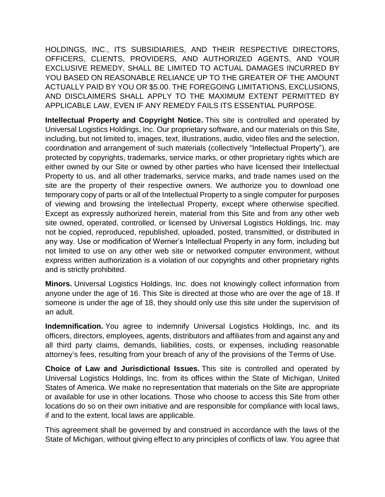HOLDINGS, INC., ITS SUBSIDIARIES, AND THEIR RESPECTIVE DIRECTORS, OFFICERS, CLIENTS, PROVIDERS, AND AUTHORIZED AGENTS, AND YOUR EXCLUSIVE REMEDY, SHALL BE LIMITED TO ACTUAL DAMAGES INCURRED BY YOU BASED ON REASONABLE RELIANCE UP TO THE GREATER OF THE AMOUNT ACTUALLY PAID BY YOU OR \$5.00. THE FOREGOING LIMITATIONS, EXCLUSIONS, AND DISCLAIMERS SHALL APPLY TO THE MAXIMUM EXTENT PERMITTED BY APPLICABLE LAW, EVEN IF ANY REMEDY FAILS ITS ESSENTIAL PURPOSE.

**Intellectual Property and Copyright Notice.** This site is controlled and operated by Universal Logistics Holdings, Inc. Our proprietary software, and our materials on this Site, including, but not limited to, images, text, illustrations, audio, video files and the selection, coordination and arrangement of such materials (collectively "Intellectual Property"), are protected by copyrights, trademarks, service marks, or other proprietary rights which are either owned by our Site or owned by other parties who have licensed their Intellectual Property to us, and all other trademarks, service marks, and trade names used on the site are the property of their respective owners. We authorize you to download one temporary copy of parts or all of the Intellectual Property to a single computer for purposes of viewing and browsing the Intellectual Property, except where otherwise specified. Except as expressly authorized herein, material from this Site and from any other web site owned, operated, controlled, or licensed by Universal Logistics Holdings, Inc. may not be copied, reproduced, republished, uploaded, posted, transmitted, or distributed in any way. Use or modification of Werner's Intellectual Property in any form, including but not limited to use on any other web site or networked computer environment, without express written authorization is a violation of our copyrights and other proprietary rights and is strictly prohibited.

**Minors.** Universal Logistics Holdings, Inc. does not knowingly collect information from anyone under the age of 16. This Site is directed at those who are over the age of 18. If someone is under the age of 18, they should only use this site under the supervision of an adult.

**Indemnification.** You agree to indemnify Universal Logistics Holdings, Inc. and its officers, directors, employees, agents, distributors and affiliates from and against any and all third party claims, demands, liabilities, costs, or expenses, including reasonable attorney's fees, resulting from your breach of any of the provisions of the Terms of Use.

**Choice of Law and Jurisdictional Issues.** This site is controlled and operated by Universal Logistics Holdings, Inc. from its offices within the State of Michigan, United States of America. We make no representation that materials on the Site are appropriate or available for use in other locations. Those who choose to access this Site from other locations do so on their own initiative and are responsible for compliance with local laws, if and to the extent, local laws are applicable.

This agreement shall be governed by and construed in accordance with the laws of the State of Michigan, without giving effect to any principles of conflicts of law. You agree that